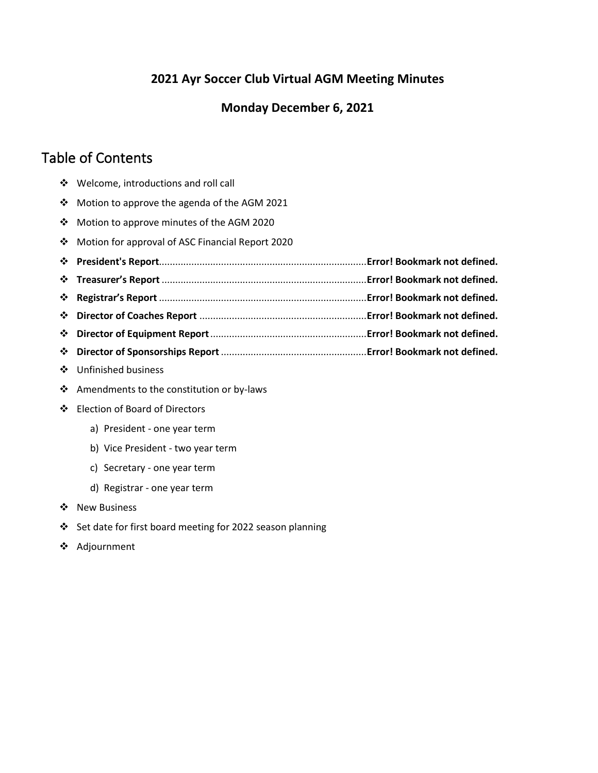# **2021 Ayr Soccer Club Virtual AGM Meeting Minutes**

# **Monday December 6, 2021**

# Table of Contents

- ❖ Welcome, introductions and roll call
- ❖ Motion to approve the agenda of the AGM 2021
- ❖ Motion to approve minutes of the AGM 2020
- ❖ Motion for approval of ASC Financial Report 2020
- ❖ **President's Report**.............................................................................**Error! Bookmark not defined.**
- ❖ **Treasurer's Report** ............................................................................**Error! Bookmark not defined.**
- ❖ **Registrar's Report** .............................................................................**Error! Bookmark not defined.**
- ❖ **Director of Coaches Report** ..............................................................**Error! Bookmark not defined.**
- ❖ **Director of Equipment Report**..........................................................**Error! Bookmark not defined.**
- ❖ **Director of Sponsorships Report** ......................................................**Error! Bookmark not defined.**
- ❖ Unfinished business
- ❖ Amendments to the constitution or by-laws
- ❖ Election of Board of Directors
	- a) President one year term
	- b) Vice President two year term
	- c) Secretary one year term
	- d) Registrar one year term
- ❖ New Business
- ❖ Set date for first board meeting for 2022 season planning
- ❖ Adjournment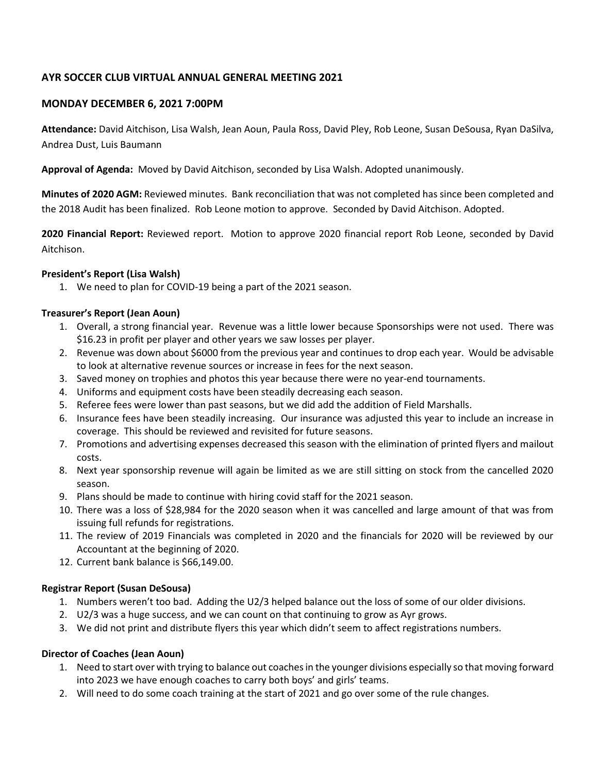## **AYR SOCCER CLUB VIRTUAL ANNUAL GENERAL MEETING 2021**

## **MONDAY DECEMBER 6, 2021 7:00PM**

**Attendance:** David Aitchison, Lisa Walsh, Jean Aoun, Paula Ross, David Pley, Rob Leone, Susan DeSousa, Ryan DaSilva, Andrea Dust, Luis Baumann

**Approval of Agenda:** Moved by David Aitchison, seconded by Lisa Walsh. Adopted unanimously.

**Minutes of 2020 AGM:** Reviewed minutes. Bank reconciliation that was not completed has since been completed and the 2018 Audit has been finalized. Rob Leone motion to approve. Seconded by David Aitchison. Adopted.

**2020 Financial Report:** Reviewed report. Motion to approve 2020 financial report Rob Leone, seconded by David Aitchison.

#### **President's Report (Lisa Walsh)**

1. We need to plan for COVID-19 being a part of the 2021 season.

#### **Treasurer's Report (Jean Aoun)**

- 1. Overall, a strong financial year. Revenue was a little lower because Sponsorships were not used. There was \$16.23 in profit per player and other years we saw losses per player.
- 2. Revenue was down about \$6000 from the previous year and continues to drop each year. Would be advisable to look at alternative revenue sources or increase in fees for the next season.
- 3. Saved money on trophies and photos this year because there were no year-end tournaments.
- 4. Uniforms and equipment costs have been steadily decreasing each season.
- 5. Referee fees were lower than past seasons, but we did add the addition of Field Marshalls.
- 6. Insurance fees have been steadily increasing. Our insurance was adjusted this year to include an increase in coverage. This should be reviewed and revisited for future seasons.
- 7. Promotions and advertising expenses decreased this season with the elimination of printed flyers and mailout costs.
- 8. Next year sponsorship revenue will again be limited as we are still sitting on stock from the cancelled 2020 season.
- 9. Plans should be made to continue with hiring covid staff for the 2021 season.
- 10. There was a loss of \$28,984 for the 2020 season when it was cancelled and large amount of that was from issuing full refunds for registrations.
- 11. The review of 2019 Financials was completed in 2020 and the financials for 2020 will be reviewed by our Accountant at the beginning of 2020.
- 12. Current bank balance is \$66,149.00.

#### **Registrar Report (Susan DeSousa)**

- 1. Numbers weren't too bad. Adding the U2/3 helped balance out the loss of some of our older divisions.
- 2. U2/3 was a huge success, and we can count on that continuing to grow as Ayr grows.
- 3. We did not print and distribute flyers this year which didn't seem to affect registrations numbers.

#### **Director of Coaches (Jean Aoun)**

- 1. Need to start over with trying to balance out coaches in the younger divisions especially so that moving forward into 2023 we have enough coaches to carry both boys' and girls' teams.
- 2. Will need to do some coach training at the start of 2021 and go over some of the rule changes.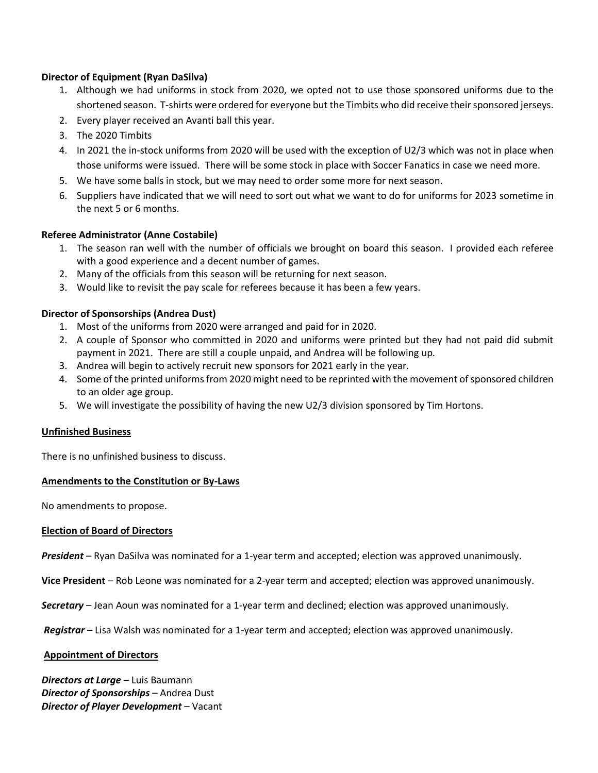### **Director of Equipment (Ryan DaSilva)**

- 1. Although we had uniforms in stock from 2020, we opted not to use those sponsored uniforms due to the shortened season. T-shirts were ordered for everyone but the Timbits who did receive their sponsored jerseys.
- 2. Every player received an Avanti ball this year.
- 3. The 2020 Timbits
- 4. In 2021 the in-stock uniforms from 2020 will be used with the exception of U2/3 which was not in place when those uniforms were issued. There will be some stock in place with Soccer Fanatics in case we need more.
- 5. We have some balls in stock, but we may need to order some more for next season.
- 6. Suppliers have indicated that we will need to sort out what we want to do for uniforms for 2023 sometime in the next 5 or 6 months.

#### **Referee Administrator (Anne Costabile)**

- 1. The season ran well with the number of officials we brought on board this season. I provided each referee with a good experience and a decent number of games.
- 2. Many of the officials from this season will be returning for next season.
- 3. Would like to revisit the pay scale for referees because it has been a few years.

#### **Director of Sponsorships (Andrea Dust)**

- 1. Most of the uniforms from 2020 were arranged and paid for in 2020.
- 2. A couple of Sponsor who committed in 2020 and uniforms were printed but they had not paid did submit payment in 2021. There are still a couple unpaid, and Andrea will be following up.
- 3. Andrea will begin to actively recruit new sponsors for 2021 early in the year.
- 4. Some of the printed uniforms from 2020 might need to be reprinted with the movement of sponsored children to an older age group.
- 5. We will investigate the possibility of having the new U2/3 division sponsored by Tim Hortons.

#### **Unfinished Business**

There is no unfinished business to discuss.

#### **Amendments to the Constitution or By-Laws**

No amendments to propose.

#### **Election of Board of Directors**

*President* – Ryan DaSilva was nominated for a 1-year term and accepted; election was approved unanimously.

**Vice President** – Rob Leone was nominated for a 2-year term and accepted; election was approved unanimously.

*Secretary* – Jean Aoun was nominated for a 1-year term and declined; election was approved unanimously.

*Registrar* – Lisa Walsh was nominated for a 1-year term and accepted; election was approved unanimously.

#### **Appointment of Directors**

*Directors at Large* – Luis Baumann *Director of Sponsorships* – Andrea Dust *Director of Player Development* – Vacant